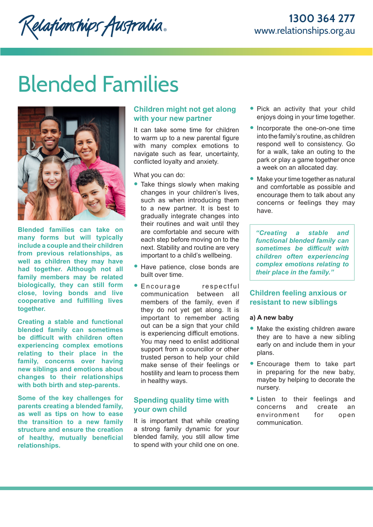# Blended Families

Relationships Australia.



**Blended families can take on many forms but will typically include a couple and their children from previous relationships, as well as children they may have had together. Although not all family members may be related biologically, they can still form close, loving bonds and live cooperative and fulfilling lives together.** 

**Creating a stable and functional blended family can sometimes be difficult with children often experiencing complex emotions relating to their place in the family, concerns over having new siblings and emotions about changes to their relationships with both birth and step-parents.** 

**Some of the key challenges for parents creating a blended family, as well as tips on how to ease the transition to a new family structure and ensure the creation of healthy, mutually beneficial relationships.**

# **Children might not get along with your new partner**

It can take some time for children to warm up to a new parental figure with many complex emotions to navigate such as fear, uncertainty, conflicted loyalty and anxiety.

What you can do:

- Take things slowly when making changes in your children's lives, such as when introducing them to a new partner. It is best to gradually integrate changes into their routines and wait until they are comfortable and secure with each step before moving on to the next. Stability and routine are very important to a child's wellbeing.
- Have patience, close bonds are built over time.
- Encourage respectful communication between all members of the family, even if they do not yet get along. It is important to remember acting out can be a sign that your child is experiencing difficult emotions. You may need to enlist additional support from a councillor or other trusted person to help your child make sense of their feelings or hostility and learn to process them in healthy ways.

## **Spending quality time with your own child**

It is important that while creating a strong family dynamic for your blended family, you still allow time to spend with your child one on one.

- Pick an activity that your child enjoys doing in your time together.
- Incorporate the one-on-one time into the family's routine, as children respond well to consistency. Go for a walk, take an outing to the park or play a game together once a week on an allocated day.
- Make your time together as natural and comfortable as possible and encourage them to talk about any concerns or feelings they may have.

*"Creating a stable and functional blended family can sometimes be difficult with children often experiencing complex emotions relating to their place in the family."*

# **Children feeling anxious or resistant to new siblings**

## **a) A new baby**

- Make the existing children aware they are to have a new sibling early on and include them in your plans.
- Encourage them to take part in preparing for the new baby, maybe by helping to decorate the nursery.
- Listen to their feelings and<br>concerns and create an concerns and environment for open communication.